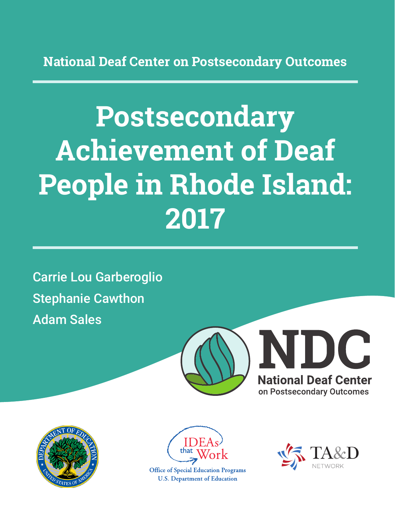**National Deaf Center on Postsecondary Outcomes**

# **Postsecondary Achievement of Deaf People in Rhode Island: 2017**

Carrie Lou Garberoglio Stephanie Cawthon Adam Sales







**Office of Special Education Programs U.S. Department of Education** 

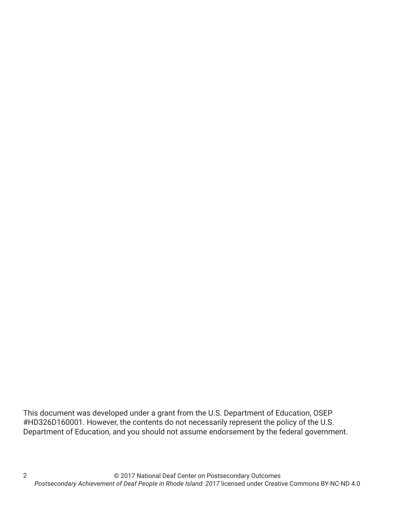This document was developed under a grant from the U.S. Department of Education, OSEP #HD326D160001. However, the contents do not necessarily represent the policy of the U.S. Department of Education, and you should not assume endorsement by the federal government.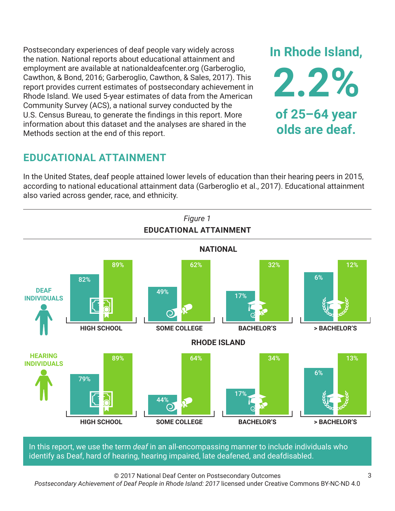Postsecondary experiences of deaf people vary widely across the nation. National reports about educational attainment and employment are available at nationaldeafcenter.org (Garberoglio, Cawthon, & Bond, 2016; Garberoglio, Cawthon, & Sales, 2017). This report provides current estimates of postsecondary achievement in Rhode Island. We used 5-year estimates of data from the American Community Survey (ACS), a national survey conducted by the U.S. Census Bureau, to generate the findings in this report. More information about this dataset and the analyses are shared in the Methods section at the end of this report.

# **EDUCATIONAL ATTAINMENT**

In the United States, deaf people attained lower levels of education than their hearing peers in 2015, according to national educational attainment data (Garberoglio et al., 2017). Educational attainment also varied across gender, race, and ethnicity.



In this report, we use the term *deaf* in an all-encompassing manner to include individuals who identify as Deaf, hard of hearing, hearing impaired, late deafened, and deafdisabled.

© 2017 National Deaf Center on Postsecondary Outcomes

*Postsecondary Achievement of Deaf People in Rhode Island: 2017* licensed under Creative Commons BY-NC-ND 4.0

**In Rhode Island,**

**2.2%**

**of 25–64 year**

**olds are deaf.**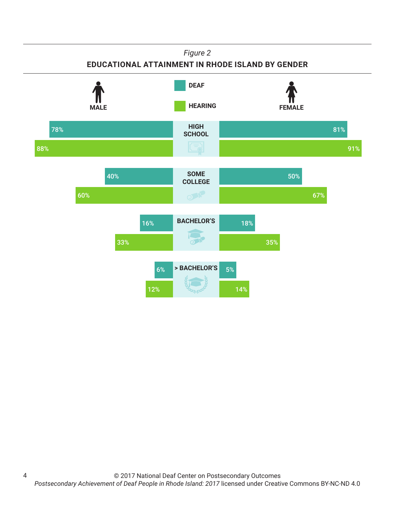### *Figure 2*

## **EDUCATIONAL ATTAINMENT IN RHODE ISLAND BY GENDER**



4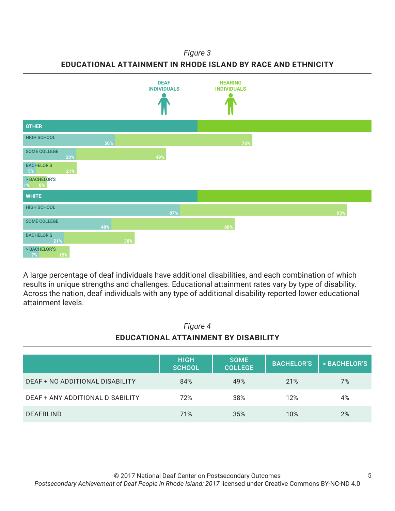*Figure 3*

**EDUCATIONAL ATTAINMENT IN RHODE ISLAND BY RACE AND ETHNICITY**



A large percentage of deaf individuals have additional disabilities, and each combination of which results in unique strengths and challenges. Educational attainment rates vary by type of disability. Across the nation, deaf individuals with any type of additional disability reported lower educational attainment levels.

| Figure 4<br>EDUCATIONAL ATTAINMENT BY DISABILITY |                              |                               |                   |              |
|--------------------------------------------------|------------------------------|-------------------------------|-------------------|--------------|
|                                                  | <b>HIGH</b><br><b>SCHOOL</b> | <b>SOME</b><br><b>COLLEGE</b> | <b>BACHELOR'S</b> | > BACHELOR'S |
| DEAF + NO ADDITIONAL DISABILITY                  | 84%                          | 49%                           | 21%               | 7%           |
| DEAF + ANY ADDITIONAL DISABILITY                 | 72%                          | 38%                           | 12%               | 4%           |
| <b>DEAFBLIND</b>                                 | 71%                          | 35%                           | 10%               | 2%           |

5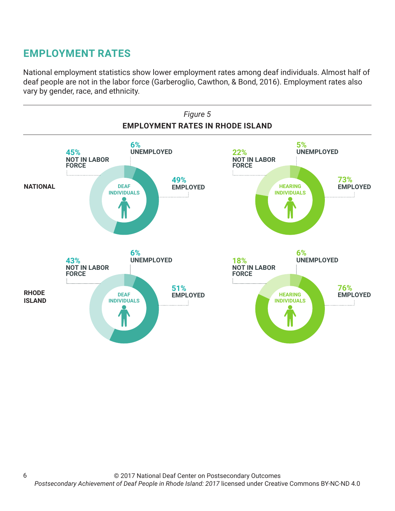# **EMPLOYMENT RATES**

6

National employment statistics show lower employment rates among deaf individuals. Almost half of deaf people are not in the labor force (Garberoglio, Cawthon, & Bond, 2016). Employment rates also vary by gender, race, and ethnicity.

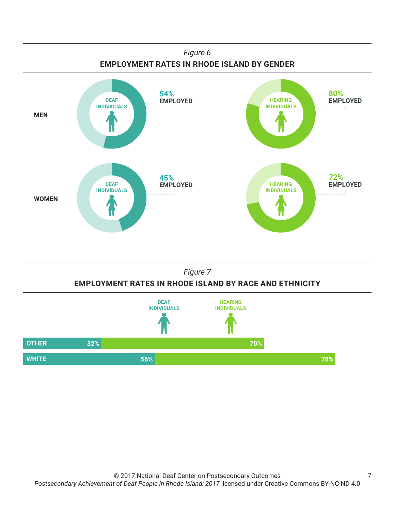





7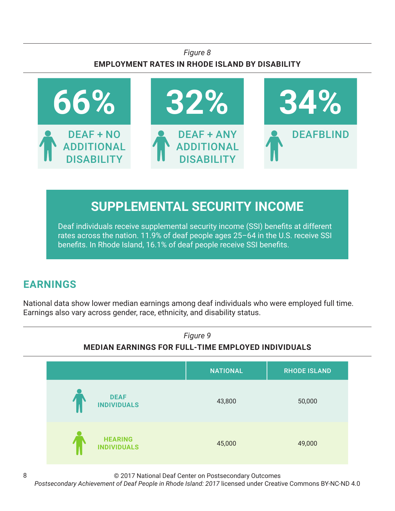## *Figure 8* **EMPLOYMENT RATES IN RHODE ISLAND BY DISABILITY**



# **SUPPLEMENTAL SECURITY INCOME**

Deaf individuals receive supplemental security income (SSI) benefits at different rates across the nation. 11.9% of deaf people ages 25–64 in the U.S. receive SSI benefits. In Rhode Island, 16.1% of deaf people receive SSI benefits.

# **EARNINGS**

National data show lower median earnings among deaf individuals who were employed full time. Earnings also vary across gender, race, ethnicity, and disability status.



© 2017 National Deaf Center on Postsecondary Outcomes

*Postsecondary Achievement of Deaf People in Rhode Island: 2017* licensed under Creative Commons BY-NC-ND 4.0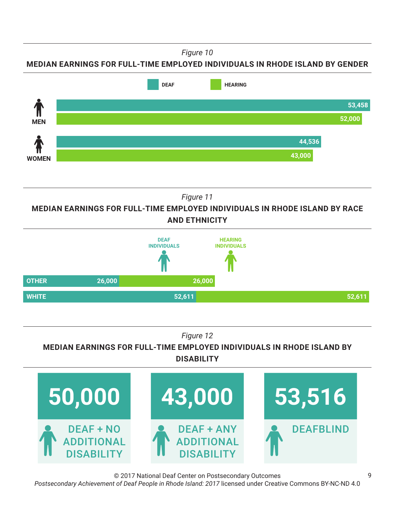*Figure 10*

**MEDIAN EARNINGS FOR FULL-TIME EMPLOYED INDIVIDUALS IN RHODE ISLAND BY GENDER**



*Figure 11*

**MEDIAN EARNINGS FOR FULL-TIME EMPLOYED INDIVIDUALS IN RHODE ISLAND BY RACE AND ETHNICITY**



*Figure 12*

**MEDIAN EARNINGS FOR FULL-TIME EMPLOYED INDIVIDUALS IN RHODE ISLAND BY DISABILITY**



© 2017 National Deaf Center on Postsecondary Outcomes *Postsecondary Achievement of Deaf People in Rhode Island: 2017* licensed under Creative Commons BY-NC-ND 4.0